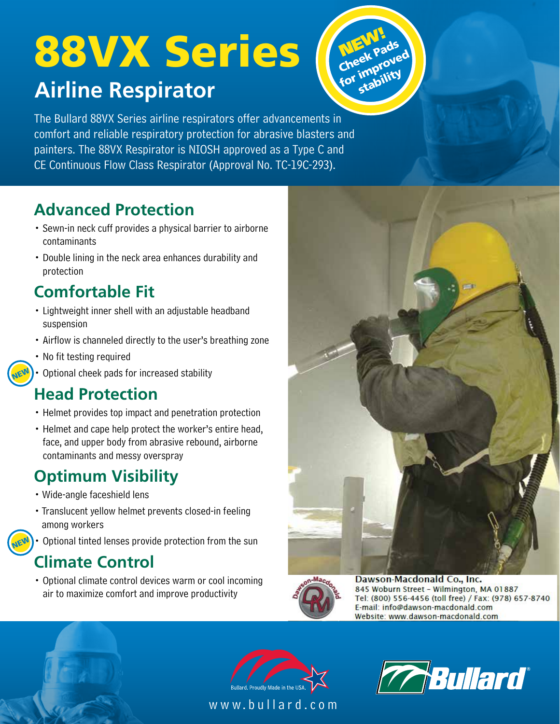# **Airline Respirator** 88VX Series



The Bullard 88VX Series airline respirators offer advancements in comfort and reliable respiratory protection for abrasive blasters and painters. The 88VX Respirator is NIOSH approved as a Type C and CE Continuous Flow Class Respirator (Approval No. TC-19C-293).

#### **Advanced Protection**

- Sewn-in neck cuff provides a physical barrier to airborne contaminants
- Double lining in the neck area enhances durability and protection

### **Comfortable Fit**

- Lightweight inner shell with an adjustable headband suspension
- Airflow is channeled directly to the user's breathing zone
- No fit testing required

NEW

**NEW** 

• Optional cheek pads for increased stability

#### **Head Protection**

- Helmet provides top impact and penetration protection
- Helmet and cape help protect the worker's entire head, face, and upper body from abrasive rebound, airborne contaminants and messy overspray

### **Optimum Visibility**

- Wide-angle faceshield lens
- Translucent yellow helmet prevents closed-in feeling among workers
- Optional tinted lenses provide protection from the sun

#### **Climate Control**

• Optional climate control devices warm or cool incoming air to maximize comfort and improve productivity





Dawson-Macdonald Co., Inc. 845 Woburn Street - Wilmington, MA 01887 Tel: (800) 556-4456 (toll free) / Fax: (978) 657-8740 E-mail: info@dawson-macdonald.com Website: www.dawson-macdonald.com